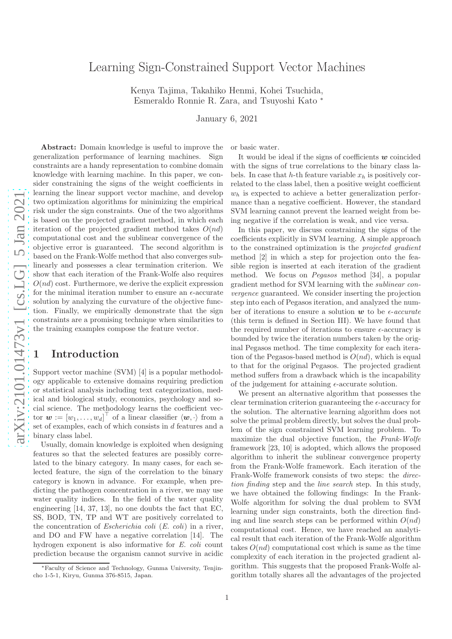# Learning Sign-Constrained Support Vector Machines

Kenya Tajima, Takahiko Henmi, Kohei Tsuchida, Esmeraldo Ronnie R. Zara, and Tsuyoshi Kato ∗

January 6, 2021

Abstract: Domain knowledge is useful to improve the generalization performance of learning machines. Sign constraints are a handy representation to combine domain knowledge with learning machine. In this paper, we consider constraining the signs of the weight coefficients in learning the linear support vector machine, and develop two optimization algorithms for minimizing the empirical risk under the sign constraints. One of the two algorithms is based on the projected gradient method, in which each iteration of the projected gradient method takes  $O(nd)$ computational cost and the sublinear convergence of the objective error is guaranteed. The second algorithm is based on the Frank-Wolfe method that also converges sublinearly and possesses a clear termination criterion. We show that each iteration of the Frank-Wolfe also requires  $O(nd)$  cost. Furthermore, we derive the explicit expression for the minimal iteration number to ensure an  $\epsilon$ -accurate solution by analyzing the curvature of the objective function. Finally, we empirically demonstrate that the sign constraints are a promising technique when similarities to the training examples compose the feature vector.

# 1 Introduction

Support vector machine (SVM) [4] is a popular methodology applicable to extensive domains requiring prediction or statistical analysis including text categorization, medical and biological study, economics, psychology and social science. The methodology learns the coefficient vector  $\mathbf{w} := [w_1, \dots, w_d]^\top$  of a linear classifier  $\langle \mathbf{w}, \cdot \rangle$  from a set of examples, each of which consists in d features and a binary class label.

Usually, domain knowledge is exploited when designing features so that the selected features are possibly correlated to the binary category. In many cases, for each selected feature, the sign of the correlation to the binary category is known in advance. For example, when predicting the pathogen concentration in a river, we may use water quality indices. In the field of the water quality engineering [14, 37, 13], no one doubts the fact that EC, SS, BOD, TN, TP and WT are positively correlated to the concentration of *Escherichia coli*  $(E. \text{ coli})$  in a river, and DO and FW have a negative correlation [14]. The hydrogen exponent is also informative for E. coli count prediction because the organism cannot survive in acidic

or basic water.

It would be ideal if the signs of coefficients  $w$  coincided with the signs of true correlations to the binary class labels. In case that h-th feature variable  $x_h$  is positively correlated to the class label, then a positive weight coefficient  $w<sub>h</sub>$  is expected to achieve a better generalization performance than a negative coefficient. However, the standard SVM learning cannot prevent the learned weight from being negative if the correlation is weak, and vice versa.

In this paper, we discuss constraining the signs of the coefficients explicitly in SVM learning. A simple approach to the constrained optimization is the projected gradient method [2] in which a step for projection onto the feasible region is inserted at each iteration of the gradient method. We focus on Pegasos method [34], a popular gradient method for SVM learning with the sublinear convergence guaranteed. We consider inserting the projection step into each of Pegasos iteration, and analyzed the number of iterations to ensure a solution  $w$  to be  $\epsilon$ -accurate (this term is defined in Section III). We have found that the required number of iterations to ensure  $\epsilon$ -accuracy is bounded by twice the iteration numbers taken by the original Pegasos method. The time complexity for each iteration of the Pegasos-based method is  $O(nd)$ , which is equal to that for the original Pegasos. The projected gradient method suffers from a drawback which is the incapability of the judgement for attaining  $\epsilon$ -accurate solution.

We present an alternative algorithm that possesses the clear termination criterion guaranteeing the  $\epsilon$ -accuracy for the solution. The alternative learning algorithm does not solve the primal problem directly, but solves the dual problem of the sign constrained SVM learning problem. To maximize the dual objective function, the Frank-Wolfe framework [23, 10] is adopted, which allows the proposed algorithm to inherit the sublinear convergence property from the Frank-Wolfe framework. Each iteration of the Frank-Wolfe framework consists of two steps: the direction finding step and the line search step. In this study, we have obtained the following findings: In the Frank-Wolfe algorithm for solving the dual problem to SVM learning under sign constraints, both the direction finding and line search steps can be performed within  $O(nd)$ computational cost. Hence, we have reached an analytical result that each iteration of the Frank-Wolfe algorithm takes  $O(nd)$  computational cost which is same as the time complexity of each iteration in the projected gradient algorithm. This suggests that the proposed Frank-Wolfe algorithm totally shares all the advantages of the projected

<sup>∗</sup>Faculty of Science and Technology, Gunma University, Tenjincho 1-5-1, Kiryu, Gunma 376-8515, Japan.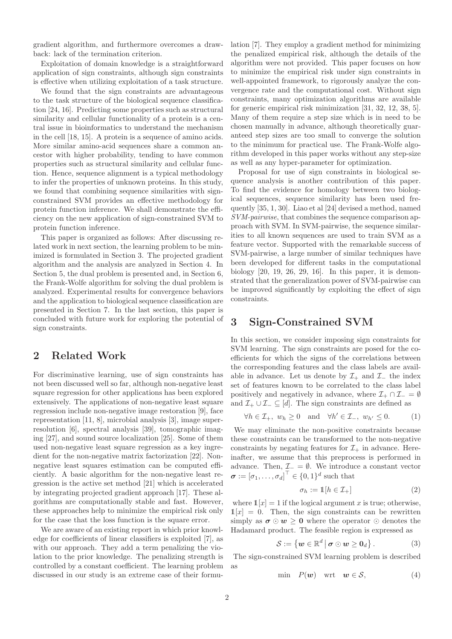gradient algorithm, and furthermore overcomes a drawback: lack of the termination criterion.

Exploitation of domain knowledge is a straightforward application of sign constraints, although sign constraints is effective when utilizing exploitation of a task structure.

We found that the sign constraints are advantageous to the task structure of the biological sequence classification [24, 16]. Predicting some properties such as structural similarity and cellular functionality of a protein is a central issue in bioinformatics to understand the mechanism in the cell [18, 15]. A protein is a sequence of amino acids. More similar amino-acid sequences share a common ancestor with higher probability, tending to have common properties such as structural similarity and cellular function. Hence, sequence alignment is a typical methodology to infer the properties of unknown proteins. In this study, we found that combining sequence similarities with signconstrained SVM provides an effective methodology for protein function inference. We shall demonstrate the efficiency on the new application of sign-constrained SVM to protein function inference.

This paper is organized as follows: After discussing related work in next section, the learning problem to be minimized is formulated in Section 3. The projected gradient algorithm and the analysis are analyzed in Section 4. In Section 5, the dual problem is presented and, in Section 6, the Frank-Wolfe algorithm for solving the dual problem is analyzed. Experimental results for convergence behaviors and the application to biological sequence classification are presented in Section 7. In the last section, this paper is concluded with future work for exploring the potential of sign constraints.

## 2 Related Work

For discriminative learning, use of sign constraints has not been discussed well so far, although non-negative least square regression for other applications has been explored extensively. The applications of non-negative least square regression include non-negative image restoration [9], face representation [11, 8], microbial analysis [3], image superresolution [6], spectral analysis [39], tomographic imaging [27], and sound source localization [25]. Some of them used non-negative least square regression as a key ingredient for the non-negative matrix factorization [22]. Nonnegative least squares estimation can be computed efficiently. A basic algorithm for the non-negative least regression is the active set method [21] which is accelerated by integrating projected gradient approach [17]. These algorithms are computationally stable and fast. However, these approaches help to minimize the empirical risk only for the case that the loss function is the square error.

We are aware of an existing report in which prior knowledge for coefficients of linear classifiers is exploited [7], as with our approach. They add a term penalizing the violation to the prior knowledge. The penalizing strength is controlled by a constant coefficient. The learning problem discussed in our study is an extreme case of their formulation [7]. They employ a gradient method for minimizing the penalized empirical risk, although the details of the algorithm were not provided. This paper focuses on how to minimize the empirical risk under sign constraints in well-appointed framework, to rigorously analyze the convergence rate and the computational cost. Without sign constraints, many optimization algorithms are available for generic empirical risk minimization [31, 32, 12, 38, 5]. Many of them require a step size which is in need to be chosen manually in advance, although theoretically guaranteed step sizes are too small to converge the solution to the minimum for practical use. The Frank-Wolfe algorithm developed in this paper works without any step-size as well as any hyper-parameter for optimization.

Proposal for use of sign constraints in biological sequence analysis is another contribution of this paper. To find the evidence for homology between two biological sequences, sequence similarity has been used frequently [35, 1, 30]. Liao et al [24] devised a method, named SVM-pairwise, that combines the sequence comparison approach with SVM. In SVM-pairwise, the sequence similarities to all known sequences are used to train SVM as a feature vector. Supported with the remarkable success of SVM-pairwise, a large number of similar techniques have been developed for different tasks in the computational biology [20, 19, 26, 29, 16]. In this paper, it is demonstrated that the generalization power of SVM-pairwise can be improved significantly by exploiting the effect of sign constraints.

## 3 Sign-Constrained SVM

In this section, we consider imposing sign constraints for SVM learning. The sign constraints are posed for the coefficients for which the signs of the correlations between the corresponding features and the class labels are available in advance. Let us denote by  $\mathcal{I}_+$  and  $\mathcal{I}_-$  the index set of features known to be correlated to the class label positively and negatively in advance, where  $\mathcal{I}_+ \cap \mathcal{I}_- = \emptyset$ and  $\mathcal{I}_+ \cup \mathcal{I}_- \subseteq [d]$ . The sign constraints are defined as

$$
\forall h \in \mathcal{I}_{+}, \ w_h \ge 0 \quad \text{and} \quad \forall h' \in \mathcal{I}_{-}, \ w_{h'} \le 0. \tag{1}
$$

We may eliminate the non-positive constraints because these constraints can be transformed to the non-negative constraints by negating features for  $\mathcal{I}_{+}$  in advance. Hereinafter, we assume that this preprocess is performed in advance. Then,  $\mathcal{I}_{-} = \emptyset$ . We introduce a constant vector  $\boldsymbol{\sigma} := [\sigma_1, \dots, \sigma_d]^\top \in \{0, 1\}^d$  such that

$$
\sigma_h := \mathbb{1}[h \in \mathcal{I}_+] \tag{2}
$$

where  $\mathbb{1}[x] = 1$  if the logical argument x is true; otherwise,  $\mathbb{1}[x] = 0$ . Then, the sign constraints can be rewritten simply as  $\sigma \odot w \geq 0$  where the operator  $\odot$  denotes the Hadamard product. The feasible region is expressed as

$$
S := \{ w \in \mathbb{R}^d \, \big| \, \boldsymbol{\sigma} \odot w \geq 0_d \} . \tag{3}
$$

The sign-constrained SVM learning problem is described as

$$
\min P(\mathbf{w}) \quad \text{wrt} \quad \mathbf{w} \in \mathcal{S}, \tag{4}
$$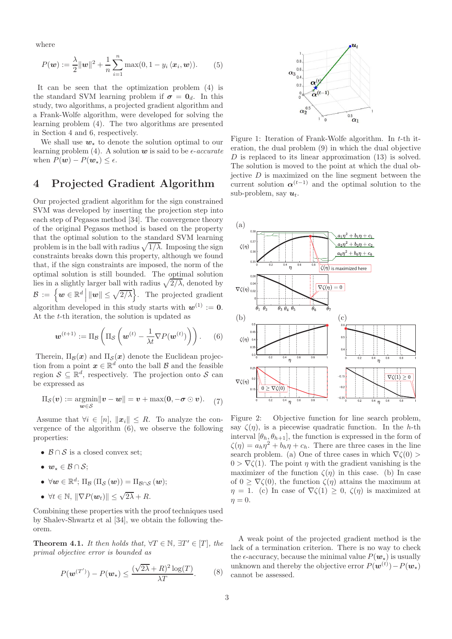where

$$
P(\boldsymbol{w}) := \frac{\lambda}{2} ||\boldsymbol{w}||^2 + \frac{1}{n} \sum_{i=1}^n \max(0, 1 - y_i \langle \boldsymbol{x}_i, \boldsymbol{w} \rangle).
$$
 (5)

It can be seen that the optimization problem (4) is the standard SVM learning problem if  $\sigma = 0_d$ . In this study, two algorithms, a projected gradient algorithm and a Frank-Wolfe algorithm, were developed for solving the learning problem (4). The two algorithms are presented in Section 4 and 6, respectively.

We shall use  $w_{\star}$  to denote the solution optimal to our learning problem (4). A solution  $w$  is said to be  $\epsilon$ -accurate when  $P(\mathbf{w}) - P(\mathbf{w}_*) \leq \epsilon$ .

## 4 Projected Gradient Algorithm

Our projected gradient algorithm for the sign constrained SVM was developed by inserting the projection step into each step of Pegasos method [34]. The convergence theory of the original Pegasos method is based on the property that the optimal solution to the standard SVM learning problem is in the ball with radius  $\sqrt{1/\lambda}$ . Imposing the sign constraints breaks down this property, although we found that, if the sign constraints are imposed, the norm of the optimal solution is still bounded. The optimal solution lies in a slightly larger ball with radius  $\sqrt{2/\lambda}$ , denoted by  $\mathcal{B} := \left\{ \boldsymbol{w} \in \mathbb{R}^d \, \middle| \, \|\boldsymbol{w}\| \leq \sqrt{2/\lambda} \right\}.$  The projected gradient algorithm developed in this study starts with  $w^{(1)} := 0$ . At the t-th iteration, the solution is updated as

$$
\boldsymbol{w}^{(t+1)} := \Pi_{\mathcal{B}}\left(\Pi_{\mathcal{S}}\left(\boldsymbol{w}^{(t)} - \frac{1}{\lambda t}\nabla P(\boldsymbol{w}^{(t)})\right)\right). \qquad (6)
$$

Therein,  $\Pi_{\mathcal{B}}(x)$  and  $\Pi_{\mathcal{S}}(x)$  denote the Euclidean projection from a point  $x \in \mathbb{R}^d$  onto the ball  $\beta$  and the feasible region  $S \subseteq \mathbb{R}^d$ , respectively. The projection onto S can be expressed as

$$
\Pi_{\mathcal{S}}(\boldsymbol{v}) := \operatorname*{argmin}_{\boldsymbol{w} \in \mathcal{S}} \|\boldsymbol{v} - \boldsymbol{w}\| = \boldsymbol{v} + \max(\boldsymbol{0}, -\boldsymbol{\sigma} \odot \boldsymbol{v}).\tag{7}
$$

Assume that  $\forall i \in [n], ||x_i|| \leq R$ . To analyze the convergence of the algorithm (6), we observe the following properties:

- $\mathcal{B} \cap \mathcal{S}$  is a closed convex set;
- $w_* \in \mathcal{B} \cap \mathcal{S}$ ;
- $\bullet\;\forall\boldsymbol{w}\in\mathbb{R}^{d};\,\Pi_{\mathcal{B}}\left(\Pi_{\mathcal{S}}\left(\boldsymbol{w}\right)\right)=\Pi_{\mathcal{B}\cap\mathcal{S}}\left(\boldsymbol{w}\right);$
- $\forall t \in \mathbb{N}, \|\nabla P(\boldsymbol{w}_t)\| \leq \sqrt{2\lambda} + R.$

Combining these properties with the proof techniques used by Shalev-Shwartz et al [34], we obtain the following theorem.

**Theorem 4.1.** It then holds that,  $\forall T \in \mathbb{N}, \exists T' \in [T]$ , the primal objective error is bounded as

$$
P(\mathbf{w}^{(T')}) - P(\mathbf{w}_\star) \le \frac{(\sqrt{2\lambda} + R)^2 \log(T)}{\lambda T}.
$$
 (8)



Figure 1: Iteration of Frank-Wolfe algorithm. In t-th iteration, the dual problem (9) in which the dual objective D is replaced to its linear approximation  $(13)$  is solved. The solution is moved to the point at which the dual objective  $D$  is maximized on the line segment between the current solution  $\alpha^{(t-1)}$  and the optimal solution to the sub-problem, say  $u_t$ .



Figure 2: Objective function for line search problem, say  $\zeta(\eta)$ , is a piecewise quadratic function. In the h-th interval  $[\theta_h, \theta_{h+1}]$ , the function is expressed in the form of  $\zeta(\eta) = a_h \eta^2 + b_h \eta + c_h$ . There are three cases in the line search problem. (a) One of three cases in which  $\nabla \zeta(0)$  $0 > \nabla \zeta(1)$ . The point  $\eta$  with the gradient vanishing is the maximizer of the function  $\zeta(\eta)$  in this case. (b) In case of  $0 \geq \nabla \zeta(0)$ , the function  $\zeta(\eta)$  attains the maximum at  $\eta = 1$ . (c) In case of  $\nabla \zeta(1) \geq 0$ ,  $\zeta(\eta)$  is maximized at  $\eta = 0.$ 

A weak point of the projected gradient method is the lack of a termination criterion. There is no way to check the  $\epsilon$ -accuracy, because the minimal value  $P(\boldsymbol{w}_*)$  is usually unknown and thereby the objective error  $P(\boldsymbol{w}^{(t)}) - P(\boldsymbol{w}_\star)$ cannot be assessed.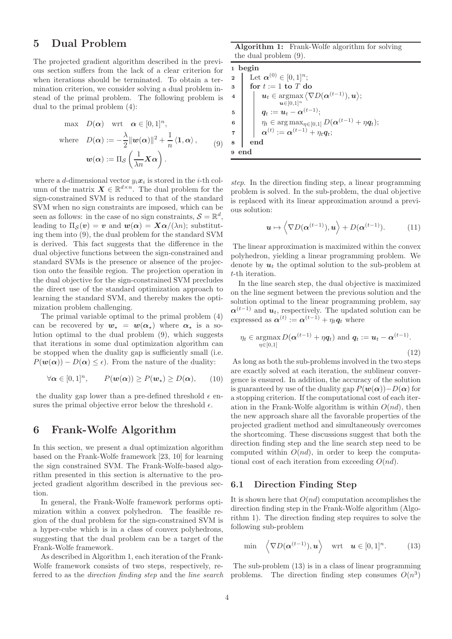# 5 Dual Problem

The projected gradient algorithm described in the previous section suffers from the lack of a clear criterion for when iterations should be terminated. To obtain a termination criterion, we consider solving a dual problem instead of the primal problem. The following problem is dual to the primal problem (4):

$$
\max \quad D(\alpha) \quad \text{wrt} \quad \alpha \in [0, 1]^n,
$$
\n
$$
\text{where} \quad D(\alpha) := -\frac{\lambda}{2} ||w(\alpha)||^2 + \frac{1}{n} \langle 1, \alpha \rangle, \qquad (9)
$$
\n
$$
w(\alpha) := \Pi_{\mathcal{S}} \left( \frac{1}{\lambda n} \mathbf{X} \alpha \right).
$$

where a d-dimensional vector  $y_i x_i$  is stored in the *i*-th column of the matrix  $\mathbf{X} \in \mathbb{R}^{d \times n}$ . The dual problem for the sign-constrained SVM is reduced to that of the standard SVM when no sign constraints are imposed, which can be seen as follows: in the case of no sign constraints,  $S = \mathbb{R}^d$ , leading to  $\Pi_{\mathcal{S}}(v) = v$  and  $w(\alpha) = X\alpha/(\lambda n)$ ; substituting them into (9), the dual problem for the standard SVM is derived. This fact suggests that the difference in the dual objective functions between the sign-constrained and standard SVMs is the presence or absence of the projection onto the feasible region. The projection operation in the dual objective for the sign-constrained SVM precludes the direct use of the standard optimization approach to learning the standard SVM, and thereby makes the optimization problem challenging.

The primal variable optimal to the primal problem (4) can be recovered by  $w_{\star} = w(\alpha_{\star})$  where  $\alpha_{\star}$  is a solution optimal to the dual problem (9), which suggests that iterations in some dual optimization algorithm can be stopped when the duality gap is sufficiently small (i.e.  $P(\mathbf{w}(\alpha)) - D(\alpha) \leq \epsilon$ . From the nature of the duality:

$$
\forall \alpha \in [0,1]^n, \qquad P(\boldsymbol{w}(\alpha)) \ge P(\boldsymbol{w}_\star) \ge D(\alpha), \qquad (10)
$$

the duality gap lower than a pre-defined threshold  $\epsilon$  ensures the primal objective error below the threshold  $\epsilon$ .

# 6 Frank-Wolfe Algorithm

In this section, we present a dual optimization algorithm based on the Frank-Wolfe framework [23, 10] for learning the sign constrained SVM. The Frank-Wolfe-based algorithm presented in this section is alternative to the projected gradient algorithm described in the previous section.

In general, the Frank-Wolfe framework performs optimization within a convex polyhedron. The feasible region of the dual problem for the sign-constrained SVM is a hyper-cube which is in a class of convex polyhedrons, suggesting that the dual problem can be a target of the Frank-Wolfe framework.

As described in Algorithm 1, each iteration of the Frank-Wolfe framework consists of two steps, respectively, referred to as the direction finding step and the line search

Algorithm 1: Frank-Wolfe algorithm for solving the dual problem (9).

1 begin 2 Let  $\alpha^{(0)} \in [0,1]^n$ ;<br>3 for  $t := 1$  to T denotes for  $t := 1$  to  $T$  do 4  $\vert \mathbf{u}_t \in \operatornamewithlimits{argmax}_{\mathbf{u}_t \in \mathcal{U}} \langle \nabla D(\boldsymbol{\alpha}^{(t-1)}), \boldsymbol{u} \rangle;$  $u\in [0,1]^n$  $\begin{array}{|c|c|} \hline \hspace{1.5mm}5 & & q_t := \boldsymbol{u}_t - \boldsymbol{\alpha}^{(t-1)}; \end{array}$ 6  $\|\eta_t \in \arg \max_{\eta \in [0,1]} D(\boldsymbol{\alpha}^{(t-1)} + \eta \boldsymbol{q}_t);$  $\begin{array}{ccc} \tau & | & \alpha^{(t)} := \alpha^{(t-1)} + \eta_t \boldsymbol{q}_t; \end{array}$ 8 end 9 end

step. In the direction finding step, a linear programming problem is solved. In the sub-problem, the dual objective is replaced with its linear approximation around a previous solution:

$$
\boldsymbol{u} \mapsto \left\langle \nabla D(\boldsymbol{\alpha}^{(t-1)}), \boldsymbol{u} \right\rangle + D(\boldsymbol{\alpha}^{(t-1)}).
$$
 (11)

The linear approximation is maximized within the convex polyhedron, yielding a linear programming problem. We denote by  $u_t$  the optimal solution to the sub-problem at t-th iteration.

In the line search step, the dual objective is maximized on the line segment between the previous solution and the solution optimal to the linear programming problem, say  $\alpha^{(t-1)}$  and  $u_t$ , respectively. The updated solution can be expressed as  $\boldsymbol{\alpha}^{(t)} := \boldsymbol{\alpha}^{(t-1)} + \eta_t \boldsymbol{q}_t$  where

$$
\eta_t \in \operatorname*{argmax}_{\eta \in [0,1]} D(\boldsymbol{\alpha}^{(t-1)} + \eta \boldsymbol{q}_t) \text{ and } \boldsymbol{q}_t := \boldsymbol{u}_t - \boldsymbol{\alpha}^{(t-1)}.
$$
\n(12)

As long as both the sub-problems involved in the two steps are exactly solved at each iteration, the sublinear convergence is ensured. In addition, the accuracy of the solution is guaranteed by use of the duality gap  $P(\mathbf{w}(\alpha)) - D(\alpha)$  for a stopping criterion. If the computational cost of each iteration in the Frank-Wolfe algorithm is within  $O(nd)$ , then the new approach share all the favorable properties of the projected gradient method and simultaneously overcomes the shortcoming. These discussions suggest that both the direction finding step and the line search step need to be computed within  $O(nd)$ , in order to keep the computational cost of each iteration from exceeding  $O(nd)$ .

#### 6.1 Direction Finding Step

It is shown here that  $O(nd)$  computation accomplishes the direction finding step in the Frank-Wolfe algorithm (Algorithm 1). The direction finding step requires to solve the following sub-problem

$$
\min \left\langle \nabla D(\boldsymbol{\alpha}^{(t-1)}), \boldsymbol{u} \right\rangle \quad \text{wrt} \quad \boldsymbol{u} \in [0,1]^n. \tag{13}
$$

The sub-problem (13) is in a class of linear programming problems. The direction finding step consumes  $O(n^3)$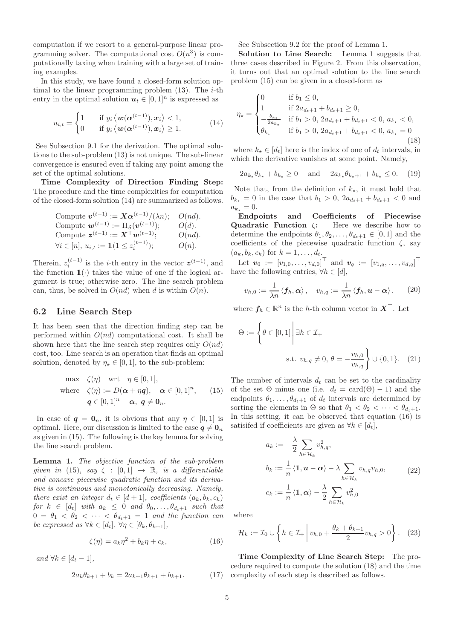computation if we resort to a general-purpose linear programming solver. The computational cost  $O(n^3)$  is computationally taxing when training with a large set of training examples.

In this study, we have found a closed-form solution optimal to the linear programming problem  $(13)$ . The *i*-th entry in the optimal solution  $u_t \in [0,1]^n$  is expressed as

$$
u_{i,t} = \begin{cases} 1 & \text{if } y_i \langle \boldsymbol{w}(\boldsymbol{\alpha}^{(t-1)}), \boldsymbol{x}_i \rangle < 1, \\ 0 & \text{if } y_i \langle \boldsymbol{w}(\boldsymbol{\alpha}^{(t-1)}), \boldsymbol{x}_i \rangle \ge 1. \end{cases}
$$
(14)

See Subsection 9.1 for the derivation. The optimal solutions to the sub-problem (13) is not unique. The sub-linear convergence is ensured even if taking any point among the set of the optimal solutions.

Time Complexity of Direction Finding Step: The procedure and the time complexities for computation of the closed-form solution (14) are summarized as follows.

Compute 
$$
\mathbf{v}^{(t-1)} := \mathbf{X} \alpha^{(t-1)} / (\lambda n); \quad O(nd).
$$
  
Compute  $\mathbf{w}^{(t-1)} := \Pi_{\mathcal{S}}(\mathbf{v}^{(t-1)}); \quad O(d).$   
Compute  $\mathbf{z}^{(t-1)} := \mathbf{X}^{\top} \mathbf{w}^{(t-1)}; \quad O(nd).$   
 $\forall i \in [n], u_{i,t} := \mathbb{1}(1 \leq z_i^{(t-1)}); \quad O(n).$ 

Therein,  $z_i^{(t-1)}$  is the *i*-th entry in the vector  $z^{(t-1)}$ , and the function  $\mathbb{1}(\cdot)$  takes the value of one if the logical argument is true; otherwise zero. The line search problem can, thus, be solved in  $O(nd)$  when d is within  $O(n)$ .

#### 6.2 Line Search Step

It has been seen that the direction finding step can be performed within  $O(nd)$  computational cost. It shall be shown here that the line search step requires only  $O(nd)$ cost, too. Line search is an operation that finds an optimal solution, denoted by  $\eta_{\star} \in [0, 1]$ , to the sub-problem:

max 
$$
\zeta(\eta)
$$
 wrt  $\eta \in [0, 1]$ ,  
where  $\zeta(\eta) := D(\alpha + \eta q)$ ,  $\alpha \in [0, 1]^n$ , (15)  
 $q \in [0, 1]^n - \alpha$ ,  $q \neq 0_n$ .

In case of  $q = 0_n$ , it is obvious that any  $\eta \in [0, 1]$  is optimal. Here, our discussion is limited to the case  $q \neq 0_n$ as given in (15). The following is the key lemma for solving the line search problem.

Lemma 1. The objective function of the sub-problem given in (15), say  $\zeta : [0,1] \rightarrow \mathbb{R}$ , is a differentiable and concave piecewise quadratic function and its derivative is continuous and monotonically decreasing. Namely, there exist an integer  $d_t \in [d+1]$ , coefficients  $(a_k, b_k, c_k)$ for  $k \in [d_t]$  with  $a_k \leq 0$  and  $\theta_0, \ldots, \theta_{d_t+1}$  such that  $0 = \theta_1 < \theta_2 < \cdots < \theta_{d_t+1} = 1$  and the function can be expressed as  $\forall k \in [d_t], \forall \eta \in [\theta_k, \theta_{k+1}],$ 

$$
\zeta(\eta) = a_k \eta^2 + b_k \eta + c_k, \qquad (16)
$$

and  $\forall k \in [d_t - 1]$ ,

$$
2a_k \theta_{k+1} + b_k = 2a_{k+1} \theta_{k+1} + b_{k+1}.
$$
 (17)

See Subsection 9.2 for the proof of Lemma 1.

Solution to Line Search: Lemma 1 suggests that three cases described in Figure 2. From this observation, it turns out that an optimal solution to the line search problem (15) can be given in a closed-form as

$$
\eta_{\star} = \begin{cases}\n0 & \text{if } b_1 \leq 0, \\
1 & \text{if } 2a_{d_t+1} + b_{d_t+1} \geq 0, \\
-\frac{b_{k_{\star}}}{2a_{k_{\star}}} & \text{if } b_1 > 0, 2a_{d_t+1} + b_{d_t+1} < 0, a_{k_{\star}} < 0, \\
\theta_{k_{\star}} & \text{if } b_1 > 0, 2a_{d_t+1} + b_{d_t+1} < 0, a_{k_{\star}} = 0\n\end{cases}
$$
\n(18)

where  $k_{\star} \in [d_t]$  here is the index of one of  $d_t$  intervals, in which the derivative vanishes at some point. Namely,

$$
2a_{k_{\star}}\theta_{k_{\star}} + b_{k_{\star}} \ge 0 \quad \text{and} \quad 2a_{k_{\star}}\theta_{k_{\star}+1} + b_{k_{\star}} \le 0. \tag{19}
$$

Note that, from the definition of  $k_{\star}$ , it must hold that  $b_{k_{\star}} = 0$  in the case that  $b_1 > 0$ ,  $2a_{d_{t+1}} + b_{d_{t+1}} < 0$  and  $a_{k_{\star}} = 0.$ 

Endpoints and Coefficients of Piecewise Quadratic Function ζ: Here we describe how to determine the endpoints  $\theta_1, \theta_2, \ldots, \theta_{d_t+1} \in [0, 1]$  and the coefficients of the piecewise quadratic function  $\zeta$ , say  $(a_k, b_k, c_k)$  for  $k = 1, ..., d_t$ .

Let  $\bm{v}_0 := [v_{1,0}, \dots, v_{d,0}]^\top$  and  $\bm{v}_q := [v_{1,q}, \dots, v_{d,q}]^\top$ have the following entries,  $\forall h \in [d],$ 

$$
v_{h,0} := \frac{1}{\lambda n} \langle f_h, \alpha \rangle, \quad v_{h,q} := \frac{1}{\lambda n} \langle f_h, u - \alpha \rangle. \quad (20)
$$

where  $f_h \in \mathbb{R}^n$  is the h-th column vector in  $X^{\top}$ . Let

$$
\Theta := \left\{ \theta \in [0, 1] \middle| \exists h \in \mathcal{I}_+ \right\}
$$
  
s.t.  $v_{h,q} \neq 0, \theta = -\frac{v_{h,0}}{v_{h,q}} \right\} \cup \{0, 1\}. (21)$ 

The number of intervals  $d_t$  can be set to the cardinality of the set  $\Theta$  minus one (i.e.  $d_t = \text{card}(\Theta) - 1$ ) and the endpoints  $\theta_1, \ldots, \theta_{d_t+1}$  of  $d_t$  intervals are determined by sorting the elements in  $\Theta$  so that  $\theta_1 < \theta_2 < \cdots < \theta_{d_t+1}$ . In this setting, it can be observed that equation (16) is satisifed if coefficients are given as  $\forall k \in [d_t],$ 

$$
a_k := -\frac{\lambda}{2} \sum_{h \in \mathcal{H}_k} v_{h,q}^2,
$$
  
\n
$$
b_k := \frac{1}{n} \langle \mathbf{1}, \mathbf{u} - \alpha \rangle - \lambda \sum_{h \in \mathcal{H}_k} v_{h,q} v_{h,0},
$$
  
\n
$$
c_k := \frac{1}{n} \langle \mathbf{1}, \alpha \rangle - \frac{\lambda}{2} \sum_{h \in \mathcal{H}_k} v_{h,0}^2
$$
\n(22)

where

$$
\mathcal{H}_k := \mathcal{I}_0 \cup \left\{ h \in \mathcal{I}_+ \middle| v_{h,0} + \frac{\theta_k + \theta_{k+1}}{2} v_{h,q} > 0 \right\}. \tag{23}
$$

Time Complexity of Line Search Step: The procedure required to compute the solution (18) and the time complexity of each step is described as follows.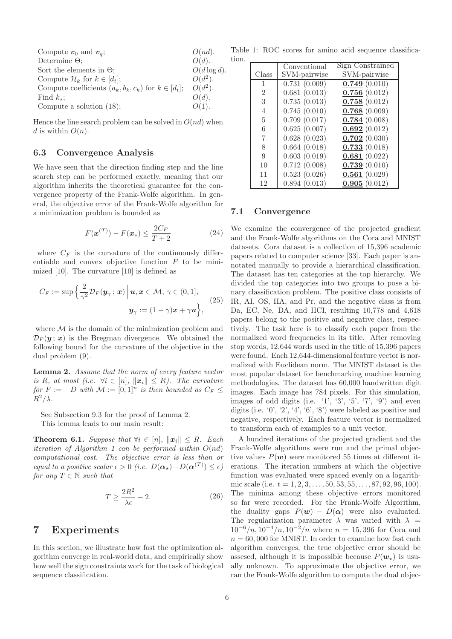| Compute $v_0$ and $v_a$ ;                                  | $O(nd)$ .       |
|------------------------------------------------------------|-----------------|
| Determine $\Theta$ ;                                       | O(d).           |
| Sort the elements in $\Theta$ ;                            | $O(d \log d)$ . |
| Compute $\mathcal{H}_k$ for $k \in [d_t]$ ;                | $O(d^2)$ .      |
| Compute coefficients $(a_k, b_k, c_k)$ for $k \in [d_t]$ ; | $O(d^2)$ .      |
| Find $k_{\star}$ :                                         | O(d).           |
| Compute a solution $(18)$ ;                                | $O(1)$ .        |
|                                                            |                 |

Hence the line search problem can be solved in  $O(nd)$  when d is within  $O(n)$ .

#### 6.3 Convergence Analysis

We have seen that the direction finding step and the line search step can be performed exactly, meaning that our algorithm inherits the theoretical guarantee for the convergence property of the Frank-Wolfe algorithm. In general, the objective error of the Frank-Wolfe algorithm for a minimization problem is bounded as

$$
F(\boldsymbol{x}^{(T)}) - F(\boldsymbol{x}_{\star}) \le \frac{2C_F}{T+2}
$$
 (24)

where  $C_F$  is the curvature of the continuously differentiable and convex objective function  $F$  to be minimized [10]. The curvature [10] is defined as

$$
C_F := \sup \left\{ \frac{2}{\gamma^2} \mathcal{D}_F(\mathbf{y}_\gamma; \, \mathbf{x}) \, \middle| \, \mathbf{u}, \mathbf{x} \in \mathcal{M}, \, \gamma \in (0, 1], \right\}
$$
\n
$$
\mathbf{y}_\gamma := (1 - \gamma)\mathbf{x} + \gamma \mathbf{u} \right\}, \tag{25}
$$

where  $\mathcal M$  is the domain of the minimization problem and  $\mathcal{D}_F(\mathbf{y};\mathbf{x})$  is the Bregman divergence. We obtained the following bound for the curvature of the objective in the dual problem (9).

Lemma 2. Assume that the norm of every feature vector is R, at most (i.e.  $\forall i \in [n], ||\mathbf{x}_i|| \leq R$ ). The curvature for  $F := -D$  with  $\mathcal{M} := [0,1]^n$  is then bounded as  $C_F \leq$  $R^2/\lambda$ .

See Subsection 9.3 for the proof of Lemma 2. This lemma leads to our main result:

**Theorem 6.1.** Suppose that  $\forall i \in [n], ||x_i|| \leq R$ . Each iteration of Algorithm 1 can be performed within  $O(nd)$ computational cost. The objective error is less than or equal to a positive scalar  $\epsilon > 0$  (i.e.  $D(\boldsymbol{\alpha}_\star) - D(\boldsymbol{\alpha}^{(T)}) \leq \epsilon$ ) for any  $T \in \mathbb{N}$  such that

$$
T \ge \frac{2R^2}{\lambda \epsilon} - 2. \tag{26}
$$

# 7 Experiments

In this section, we illustrate how fast the optimization algorithm converge in real-world data, and empirically show how well the sign constraints work for the task of biological sequence classification.

Table 1: ROC scores for amino acid sequence classification.

|                | Conventional                 | Sign Constrained |
|----------------|------------------------------|------------------|
| Class          | SVM-pairwise                 | SVM-pairwise     |
| 1              | $0.7\overline{31}$ $(0.009)$ | $0.749\ (0.010)$ |
| $\overline{2}$ | 0.681(0.013)                 | 0.756(0.012)     |
| 3              | 0.735(0.013)                 | 0.758(0.012)     |
| 4              | 0.745(0.010)                 | 0.768(0.009)     |
| 5              | 0.709(0.017)                 | 0.784(0.008)     |
| 6              | 0.625(0.007)                 | 0.692(0.012)     |
| 7              | 0.628(0.023)                 | 0.702(0.030)     |
| 8              | 0.664(0.018)                 | 0.733(0.018)     |
| 9              | 0.603(0.019)                 | 0.681(0.022)     |
| 10             | 0.712(0.008)                 | 0.739(0.010)     |
| 11             | 0.523(0.026)                 | 0.561(0.029)     |
| 12             | 0.894(0.013)                 | 0.905(0.012)     |

#### 7.1 Convergence

We examine the convergence of the projected gradient and the Frank-Wolfe algorithms on the Cora and MNIST datasets. Cora dataset is a collection of 15,396 academic papers related to computer science [33]. Each paper is annotated manually to provide a hierarchical classification. The dataset has ten categories at the top hierarchy. We divided the top categories into two groups to pose a binary classification problem. The positive class consists of IR, AI, OS, HA, and Pr, and the negative class is from Da, EC, Ne, DA, and HCI, resulting 10,778 and 4,618 papers belong to the positive and negative class, respectively. The task here is to classify each paper from the normalized word frequencies in its title. After removing stop words, 12,644 words used in the title of 15,396 papers were found. Each 12,644-dimensional feature vector is normalized with Euclidean norm. The MNIST dataset is the most popular dataset for benchmarking machine learning methodologies. The dataset has 60,000 handwritten digit images. Each image has 784 pixels. For this simulation, images of odd digits (i.e.  $\langle 1', \langle 3', \langle 5', \langle 7', \langle 9 \rangle \rangle \rangle$  and even digits (i.e.  $(0, 2, 4, 6, 8)$  were labeled as positive and negative, respectively. Each feature vector is normalized to transform each of examples to a unit vector.

A hundred iterations of the projected gradient and the Frank-Wolfe algorithms were run and the primal objective values  $P(w)$  were monitored 55 times at different iterations. The iteration numbers at which the objective function was evaluated were spaced evenly on a logarithmic scale (i.e.  $t = 1, 2, 3, \ldots, 50, 53, 55, \ldots, 87, 92, 96, 100$ ). The minima among these objective errors monitored so far were recorded. For the Frank-Wolfe Algorithm, the duality gaps  $P(w) - D(\alpha)$  were also evaluated. The regularization parameter  $\lambda$  was varied with  $\lambda$  =  $10^{-6}/n$ ,  $10^{-4}/n$ ,  $10^{-2}/n$  where  $n = 15,396$  for Cora and  $n = 60,000$  for MNIST. In order to examine how fast each algorithm converges, the true objective error should be assesed, although it is impossible because  $P(\mathbf{w}_\star)$  is usually unknown. To approximate the objective error, we ran the Frank-Wolfe algorithm to compute the dual objec-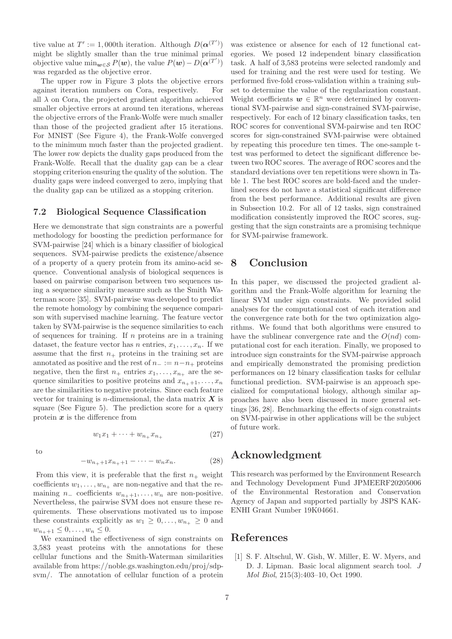tive value at  $T' := 1,000$ th iteration. Although  $D(\boldsymbol{\alpha}^{(T')})$ might be slightly smaller than the true minimal primal objective value  $\min_{\mathbf{w}\in\mathcal{S}} P(\mathbf{w})$ , the value  $P(\mathbf{w}) - D(\mathbf{\alpha}^{(T')})$ was regarded as the objective error.

The upper row in Figure 3 plots the objective errors against iteration numbers on Cora, respectively. For all  $\lambda$  on Cora, the projected gradient algorithm achieved smaller objective errors at around ten iterations, whereas the objective errors of the Frank-Wolfe were much smaller than those of the projected gradient after 15 iterations. For MNIST (See Figure 4), the Frank-Wolfe converged to the minimum much faster than the projected gradient. The lower row depicts the duality gaps produced from the Frank-Wolfe. Recall that the duality gap can be a clear stopping criterion ensuring the quality of the solution. The duality gaps were indeed converged to zero, implying that the duality gap can be utilized as a stopping criterion.

#### 7.2 Biological Sequence Classification

Here we demonstrate that sign constraints are a powerful methodology for boosting the prediction performance for SVM-pairwise [24] which is a binary classifier of biological sequences. SVM-pairwise predicts the existence/absence of a property of a query protein from its amino-acid sequence. Conventional analysis of biological sequences is based on pairwise comparison between two sequences using a sequence similarity measure such as the Smith Waterman score [35]. SVM-pairwise was developed to predict the remote homology by combining the sequence comparison with supervised machine learning. The feature vector taken by SVM-pairwise is the sequence similarities to each of sequences for training. If  $n$  proteins are in a training dataset, the feature vector has n entries,  $x_1, \ldots, x_n$ . If we assume that the first  $n_+$  proteins in the training set are annotated as positive and the rest of  $n_ - := n - n_+$  proteins negative, then the first  $n_{+}$  entries  $x_{1}, \ldots, x_{n_{+}}$  are the sequence similarities to positive proteins and  $x_{n_++1}, \ldots, x_n$ are the similarities to negative proteins. Since each feature vector for training is *n*-dimensional, the data matrix  $\boldsymbol{X}$  is square (See Figure 5). The prediction score for a query protein  $x$  is the difference from

$$
w_1 x_1 + \dots + w_{n_+} x_{n_+}
$$
 (27)

to

$$
-w_{n_{+}+1}x_{n_{+}+1}-\cdots-w_{n}x_{n}.
$$
 (28)

From this view, it is preferable that the first  $n_+$  weight coefficients  $w_1, \ldots, w_{n_+}$  are non-negative and that the remaining  $n_-\,$  coefficients  $w_{n_+\,1}, \ldots, w_n$  are non-positive. Nevertheless, the pairwise SVM does not ensure these requirements. These observations motivated us to impose these constraints explicitly as  $w_1 \geq 0, \ldots, w_{n_+} \geq 0$  and  $w_{n+1} \leq 0, \ldots, w_n \leq 0.$ 

We examined the effectiveness of sign constraints on 3,583 yeast proteins with the annotations for these cellular functions and the Smith-Waterman similarities available from https://noble.gs.washington.edu/proj/sdpsvm/. The annotation of cellular function of a protein

was existence or absence for each of 12 functional categories. We posed 12 independent binary classification task. A half of 3,583 proteins were selected randomly and used for training and the rest were used for testing. We performed five-fold cross-validation within a training subset to determine the value of the regularization constant. Weight coefficients  $w \in \mathbb{R}^n$  were determined by conventional SVM-pairwise and sign-constrained SVM-pairwise, respectively. For each of 12 binary classification tasks, ten ROC scores for conventional SVM-pairwise and ten ROC scores for sign-constrained SVM-pairwise were obtained by repeating this procedure ten times. The one-sample ttest was performed to detect the significant difference between two ROC scores. The average of ROC scores and the standard deviations over ten repetitions were shown in Table 1. The best ROC scores are bold-faced and the underlined scores do not have a statistical significant difference from the best performance. Additional results are given in Subsection 10.2. For all of 12 tasks, sign constrained modification consistently improved the ROC scores, suggesting that the sign constraints are a promising technique for SVM-pairwise framework.

# 8 Conclusion

In this paper, we discussed the projected gradient algorithm and the Frank-Wolfe algorithm for learning the linear SVM under sign constraints. We provided solid analyses for the computational cost of each iteration and the convergence rate both for the two optimization algorithms. We found that both algorithms were ensured to have the sublinear convergence rate and the  $O(nd)$  computational cost for each iteration. Finally, we proposed to introduce sign constraints for the SVM-pairwise approach and empirically demonstrated the promising prediction performances on 12 binary classification tasks for cellular functional prediction. SVM-pairwise is an approach specialized for computational biology, although similar approaches have also been discussed in more general settings [36, 28]. Benchmarking the effects of sign constraints on SVM-pairwise in other applications will be the subject of future work.

## Acknowledgment

This research was performed by the Environment Research and Technology Development Fund JPMEERF20205006 of the Environmental Restoration and Conservation Agency of Japan and supported partially by JSPS KAK-ENHI Grant Number 19K04661.

## References

[1] S. F. Altschul, W. Gish, W. Miller, E. W. Myers, and D. J. Lipman. Basic local alignment search tool. J Mol Biol, 215(3):403–10, Oct 1990.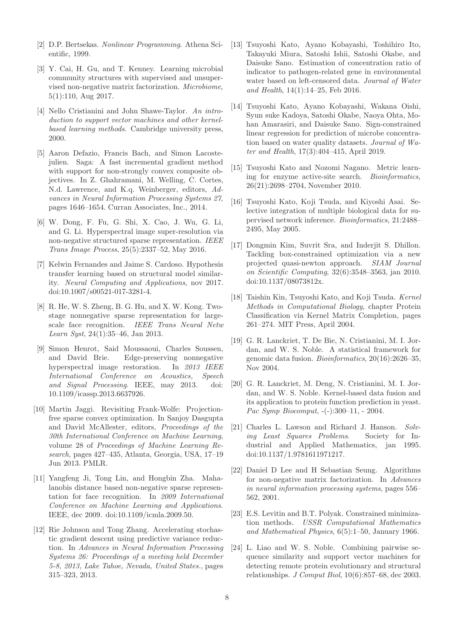- [2] D.P. Bertsekas. Nonlinear Programming. Athena Scientific, 1999.
- [3] Y. Cai, H. Gu, and T. Kenney. Learning microbial community structures with supervised and unsupervised non-negative matrix factorization. Microbiome, 5(1):110, Aug 2017.
- [4] Nello Cristianini and John Shawe-Taylor. An introduction to support vector machines and other kernelbased learning methods. Cambridge university press, 2000.
- [5] Aaron Defazio, Francis Bach, and Simon Lacostejulien. Saga: A fast incremental gradient method with support for non-strongly convex composite objectives. In Z. Ghahramani, M. Welling, C. Cortes, N.d. Lawrence, and K.q. Weinberger, editors, Advances in Neural Information Processing Systems 27, pages 1646–1654. Curran Associates, Inc., 2014.
- [6] W. Dong, F. Fu, G. Shi, X. Cao, J. Wu, G. Li, and G. Li. Hyperspectral image super-resolution via non-negative structured sparse representation. IEEE Trans Image Process, 25(5):2337–52, May 2016.
- [7] Kelwin Fernandes and Jaime S. Cardoso. Hypothesis transfer learning based on structural model similarity. Neural Computing and Applications, nov 2017. doi:10.1007/s00521-017-3281-4.
- [8] R. He, W. S. Zheng, B. G. Hu, and X. W. Kong. Twostage nonnegative sparse representation for largescale face recognition. IEEE Trans Neural Netw Learn Syst, 24(1):35–46, Jan 2013.
- [9] Simon Henrot, Said Moussaoui, Charles Soussen, and David Brie. Edge-preserving nonnegative hyperspectral image restoration. In 2013 IEEE International Conference on Acoustics, Speech and Signal Processing. IEEE, may 2013. doi: 10.1109/icassp.2013.6637926.
- [10] Martin Jaggi. Revisiting Frank-Wolfe: Projectionfree sparse convex optimization. In Sanjoy Dasgupta and David McAllester, editors, Proceedings of the 30th International Conference on Machine Learning, volume 28 of Proceedings of Machine Learning Research, pages 427–435, Atlanta, Georgia, USA, 17–19 Jun 2013. PMLR.
- [11] Yangfeng Ji, Tong Lin, and Hongbin Zha. Mahalanobis distance based non-negative sparse representation for face recognition. In 2009 International Conference on Machine Learning and Applications. IEEE, dec 2009. doi:10.1109/icmla.2009.50.
- [12] Rie Johnson and Tong Zhang. Accelerating stochastic gradient descent using predictive variance reduction. In Advances in Neural Information Processing Systems 26: Proceedings of a meeting held December 5-8, 2013, Lake Tahoe, Nevada, United States., pages 315–323, 2013.
- [13] Tsuyoshi Kato, Ayano Kobayashi, Toshihiro Ito, Takayuki Miura, Satoshi Ishii, Satoshi Okabe, and Daisuke Sano. Estimation of concentration ratio of indicator to pathogen-related gene in environmental water based on left-censored data. Journal of Water and Health, 14(1):14–25, Feb 2016.
- [14] Tsuyoshi Kato, Ayano Kobayashi, Wakana Oishi, Syun suke Kadoya, Satoshi Okabe, Naoya Ohta, Mohan Amarasiri, and Daisuke Sano. Sign-constrained linear regression for prediction of microbe concentration based on water quality datasets. Journal of Water and Health, 17(3):404–415, April 2019.
- [15] Tsuyoshi Kato and Nozomi Nagano. Metric learning for enzyme active-site search. Bioinformatics, 26(21):2698–2704, November 2010.
- [16] Tsuyoshi Kato, Koji Tsuda, and Kiyoshi Asai. Selective integration of multiple biological data for supervised network inference. Bioinformatics, 21:2488– 2495, May 2005.
- [17] Dongmin Kim, Suvrit Sra, and Inderjit S. Dhillon. Tackling box-constrained optimization via a new projected quasi-newton approach. SIAM Journal on Scientific Computing, 32(6):3548–3563, jan 2010. doi:10.1137/08073812x.
- [18] Taishin Kin, Tsuyoshi Kato, and Koji Tsuda. Kernel Methods in Computational Biology, chapter Protein Classification via Kernel Matrix Completion, pages 261–274. MIT Press, April 2004.
- [19] G. R. Lanckriet, T. De Bie, N. Cristianini, M. I. Jordan, and W. S. Noble. A statistical framework for genomic data fusion. Bioinformatics, 20(16):2626–35, Nov 2004.
- [20] G. R. Lanckriet, M. Deng, N. Cristianini, M. I. Jordan, and W. S. Noble. Kernel-based data fusion and its application to protein function prediction in yeast. Pac Symp Biocomput, -(-):300–11, - 2004.
- [21] Charles L. Lawson and Richard J. Hanson. Solving Least Squares Problems. Society for Industrial and Applied Mathematics, jan 1995. doi:10.1137/1.9781611971217.
- [22] Daniel D Lee and H Sebastian Seung. Algorithms for non-negative matrix factorization. In Advances in neural information processing systems, pages 556– 562, 2001.
- [23] E.S. Levitin and B.T. Polyak. Constrained minimization methods. USSR Computational Mathematics and Mathematical Physics, 6(5):1–50, January 1966.
- [24] L. Liao and W. S. Noble. Combining pairwise sequence similarity and support vector machines for detecting remote protein evolutionary and structural relationships. *J Comput Biol*,  $10(6)$ :857–68, dec 2003.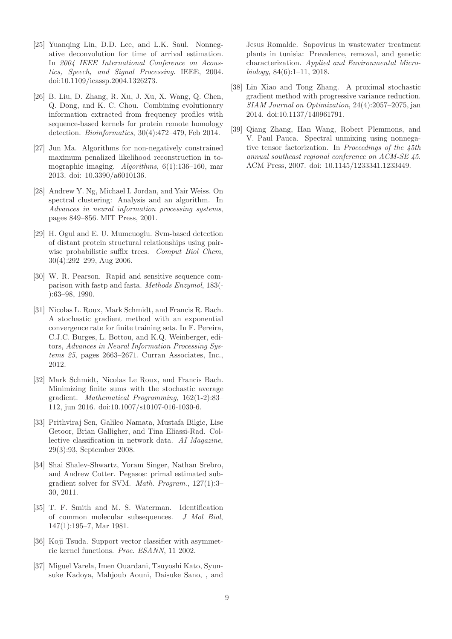- [25] Yuanqing Lin, D.D. Lee, and L.K. Saul. Nonnegative deconvolution for time of arrival estimation. In 2004 IEEE International Conference on Acoustics, Speech, and Signal Processing. IEEE, 2004. doi:10.1109/icassp.2004.1326273.
- [26] B. Liu, D. Zhang, R. Xu, J. Xu, X. Wang, Q. Chen, Q. Dong, and K. C. Chou. Combining evolutionary information extracted from frequency profiles with sequence-based kernels for protein remote homology detection. Bioinformatics, 30(4):472–479, Feb 2014.
- [27] Jun Ma. Algorithms for non-negatively constrained maximum penalized likelihood reconstruction in tomographic imaging. Algorithms,  $6(1):136-160$ , mar 2013. doi: 10.3390/a6010136.
- [28] Andrew Y. Ng, Michael I. Jordan, and Yair Weiss. On spectral clustering: Analysis and an algorithm. In Advances in neural information processing systems, pages 849–856. MIT Press, 2001.
- [29] H. Ogul and E. U. Mumcuoglu. Svm-based detection of distant protein structural relationships using pairwise probabilistic suffix trees. Comput Biol Chem, 30(4):292–299, Aug 2006.
- [30] W. R. Pearson. Rapid and sensitive sequence comparison with fastp and fasta. Methods Enzymol, 183(- ):63–98, 1990.
- [31] Nicolas L. Roux, Mark Schmidt, and Francis R. Bach. A stochastic gradient method with an exponential convergence rate for finite training sets. In F. Pereira, C.J.C. Burges, L. Bottou, and K.Q. Weinberger, editors, Advances in Neural Information Processing Systems 25, pages 2663–2671. Curran Associates, Inc., 2012.
- [32] Mark Schmidt, Nicolas Le Roux, and Francis Bach. Minimizing finite sums with the stochastic average gradient. Mathematical Programming, 162(1-2):83– 112, jun 2016. doi:10.1007/s10107-016-1030-6.
- [33] Prithviraj Sen, Galileo Namata, Mustafa Bilgic, Lise Getoor, Brian Galligher, and Tina Eliassi-Rad. Collective classification in network data. AI Magazine, 29(3):93, September 2008.
- [34] Shai Shalev-Shwartz, Yoram Singer, Nathan Srebro, and Andrew Cotter. Pegasos: primal estimated subgradient solver for SVM. Math. Program., 127(1):3– 30, 2011.
- [35] T. F. Smith and M. S. Waterman. Identification of common molecular subsequences. J Mol Biol, 147(1):195–7, Mar 1981.
- [36] Koji Tsuda. Support vector classifier with asymmetric kernel functions. Proc. ESANN, 11 2002.
- [37] Miguel Varela, Imen Ouardani, Tsuyoshi Kato, Syunsuke Kadoya, Mahjoub Aouni, Daisuke Sano, , and

Jesus Romalde. Sapovirus in wastewater treatment plants in tunisia: Prevalence, removal, and genetic characterization. Applied and Environmental Microbiology, 84(6):1–11, 2018.

- [38] Lin Xiao and Tong Zhang. A proximal stochastic gradient method with progressive variance reduction. SIAM Journal on Optimization, 24(4):2057–2075, jan 2014. doi:10.1137/140961791.
- [39] Qiang Zhang, Han Wang, Robert Plemmons, and V. Paul Pauca. Spectral unmixing using nonnegative tensor factorization. In Proceedings of the 45th annual southeast regional conference on ACM-SE 45. ACM Press, 2007. doi: 10.1145/1233341.1233449.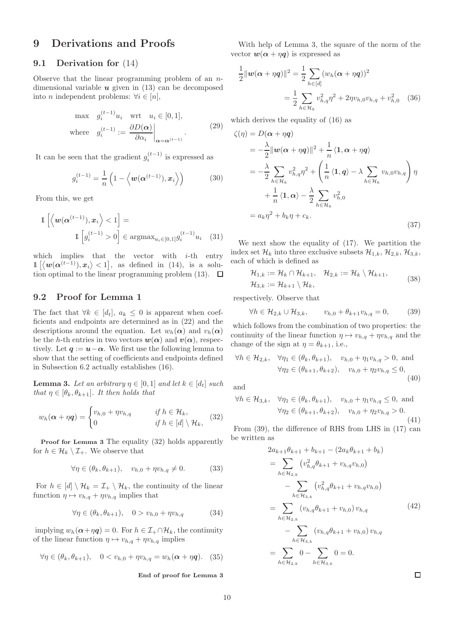# 9 Derivations and Proofs

#### 9.1 Derivation for (14)

Observe that the linear programming problem of an  $n$ dimensional variable  $u$  given in (13) can be decomposed into *n* independent problems:  $\forall i \in [n],$ 

$$
\max \quad g_i^{(t-1)} u_i \quad \text{wrt} \quad u_i \in [0, 1],
$$
\n
$$
\text{where} \quad g_i^{(t-1)} := \left. \frac{\partial D(\alpha)}{\partial \alpha_i} \right|_{\alpha = \alpha^{(t-1)}}.
$$
\n
$$
(29)
$$

It can be seen that the gradient  $g_i^{(t-1)}$  is expressed as

$$
g_i^{(t-1)} = \frac{1}{n} \left( 1 - \left\langle \boldsymbol{w}(\boldsymbol{\alpha}^{(t-1)}), \boldsymbol{x}_i \right\rangle \right) \tag{30}
$$

From this, we get

$$
\mathbb{1}\left[\left\langle \boldsymbol{w}(\boldsymbol{\alpha}^{(t-1)}), \boldsymbol{x}_i \right\rangle < 1\right] = \mathbb{1}\left[g_i^{(t-1)} > 0\right] \in \operatorname{argmax}_{u_i \in [0,1]} g_i^{(t-1)} u_i \quad (31)
$$

which implies that the vector with  $i$ -th entry  $\mathbb{1} \left[ \langle w(\alpha^{(t-1)}), x_i \rangle < 1 \right]$ , as defined in (14), is a solution optimal to the linear programming problem  $(13)$ .  $\Box$ 

#### 9.2 Proof for Lemma 1

The fact that  $\forall k \in [d_t]$ ,  $a_k \leq 0$  is apparent when coefficients and endpoints are determined as in (22) and the descriptions around the equation. Let  $w_h(\alpha)$  and  $v_h(\alpha)$ be the h-th entries in two vectors  $w(\alpha)$  and  $v(\alpha)$ , respectively. Let  $q := u - \alpha$ . We first use the following lemma to show that the setting of coefficients and endpoints defined in Subsection 6.2 actually establishes (16).

**Lemma 3.** Let an arbitrary  $\eta \in [0,1]$  and let  $k \in [d_t]$  such that  $\eta \in [\theta_k, \theta_{k+1}]$ . It then holds that

$$
w_h(\boldsymbol{\alpha} + \eta \boldsymbol{q}) = \begin{cases} v_{h,0} + \eta v_{h,q} & \text{if } h \in \mathcal{H}_k, \\ 0 & \text{if } h \in [d] \setminus \mathcal{H}_k, \end{cases}
$$
(32)

Proof for Lemma 3 The equality (32) holds apparently for  $h \in \mathcal{H}_k \setminus \mathcal{I}_+$ . We observe that

$$
\forall \eta \in (\theta_k, \theta_{k+1}), \quad v_{h,0} + \eta v_{h,q} \neq 0. \tag{33}
$$

For  $h \in [d] \setminus \mathcal{H}_k = \mathcal{I}_+ \setminus \mathcal{H}_k$ , the continuity of the linear function  $\eta \mapsto v_{h,q} + \eta v_{h,q}$  implies that

$$
\forall \eta \in (\theta_k, \theta_{k+1}), \quad 0 > v_{h,0} + \eta v_{h,q} \tag{34}
$$

implying  $w_h(\boldsymbol{\alpha}+\eta \boldsymbol{q})=0$ . For  $h \in \mathcal{I}_+\cap\mathcal{H}_k$ , the continuity of the linear function  $\eta \mapsto v_{h,q} + \eta v_{h,q}$  implies

$$
\forall \eta \in (\theta_k, \theta_{k+1}), \quad 0 < v_{h,0} + \eta v_{h,q} = w_h(\boldsymbol{\alpha} + \eta \boldsymbol{q}). \tag{35}
$$

End of proof for Lemma 3

With help of Lemma 3, the square of the norm of the vector  $\mathbf{w}(\alpha + \eta \mathbf{q})$  is expressed as

$$
\frac{1}{2} ||w(\alpha + \eta q)||^2 = \frac{1}{2} \sum_{h \in [d]} (w_h(\alpha + \eta q))^2
$$

$$
= \frac{1}{2} \sum_{h \in \mathcal{H}_k} v_{h,q}^2 \eta^2 + 2\eta v_{h,0} v_{h,q} + v_{h,0}^2 \quad (36)
$$

which derives the equality of (16) as

$$
\zeta(\eta) = D(\boldsymbol{\alpha} + \eta \boldsymbol{q})
$$
  
\n
$$
= -\frac{\lambda}{2} ||\boldsymbol{w}(\boldsymbol{\alpha} + \eta \boldsymbol{q})||^2 + \frac{1}{n} \langle \mathbf{1}, \boldsymbol{\alpha} + \eta \boldsymbol{q} \rangle
$$
  
\n
$$
= -\frac{\lambda}{2} \sum_{h \in \mathcal{H}_k} v_{h,q}^2 \eta^2 + \left( \frac{1}{n} \langle \mathbf{1}, \boldsymbol{q} \rangle - \lambda \sum_{h \in \mathcal{H}_k} v_{h,0} v_{h,q} \right) \eta
$$
  
\n
$$
+ \frac{1}{n} \langle \mathbf{1}, \boldsymbol{\alpha} \rangle - \frac{\lambda}{2} \sum_{h \in \mathcal{H}_k} v_{h,0}^2
$$
  
\n
$$
= a_k \eta^2 + b_k \eta + c_k.
$$
\n(37)

We next show the equality of (17). We partition the index set  $\mathcal{H}_k$  into three exclusive subsets  $\mathcal{H}_{1,k}$ ,  $\mathcal{H}_{2,k}$ ,  $\mathcal{H}_{3,k}$ , each of which is defined as

$$
\mathcal{H}_{1,k} := \mathcal{H}_k \cap \mathcal{H}_{k+1}, \quad \mathcal{H}_{2,k} := \mathcal{H}_k \setminus \mathcal{H}_{k+1}, \mathcal{H}_{3,k} := \mathcal{H}_{k+1} \setminus \mathcal{H}_k,
$$
\n(38)

respectively. Observe that

$$
\forall h \in \mathcal{H}_{2,k} \cup \mathcal{H}_{3,k}, \qquad v_{h,0} + \theta_{k+1} v_{h,q} = 0,\tag{39}
$$

which follows from the combination of two properties: the continuity of the linear function  $\eta \mapsto v_{h,q} + \eta v_{h,q}$  and the change of the sign at  $\eta = \theta_{k+1}$ , i.e.,

$$
\forall h \in \mathcal{H}_{2,k}, \quad \forall \eta_1 \in (\theta_k, \theta_{k+1}), \quad v_{h,0} + \eta_1 v_{h,q} > 0, \text{ and}
$$

$$
\forall \eta_2 \in (\theta_{k+1}, \theta_{k+2}), \quad v_{h,0} + \eta_2 v_{h,q} \le 0,
$$
(40)

and

$$
\forall h \in \mathcal{H}_{3,k}, \quad \forall \eta_1 \in (\theta_k, \theta_{k+1}), \quad v_{h,0} + \eta_1 v_{h,q} \le 0, \text{ and}
$$

$$
\forall \eta_2 \in (\theta_{k+1}, \theta_{k+2}), \quad v_{h,0} + \eta_2 v_{h,q} > 0.
$$
(41)

From (39), the difference of RHS from LHS in (17) can be written as

$$
2a_{k+1}\theta_{k+1} + b_{k+1} - (2a_k\theta_{k+1} + b_k)
$$
  
= 
$$
\sum_{h \in \mathcal{H}_{2,k}} (v_{h,q}^2 \theta_{k+1} + v_{h,q}v_{h,0})
$$
  
- 
$$
\sum_{h \in \mathcal{H}_{3,k}} (v_{h,q}^2 \theta_{k+1} + v_{h,q}v_{h,0})
$$
  
= 
$$
\sum_{h \in \mathcal{H}_{2,k}} (v_{h,q}\theta_{k+1} + v_{h,0})v_{h,q}
$$
  
- 
$$
\sum_{h \in \mathcal{H}_{3,k}} (v_{h,q}\theta_{k+1} + v_{h,0})v_{h,q}
$$
  
= 
$$
\sum_{h \in \mathcal{H}_{2,k}} 0 - \sum_{h \in \mathcal{H}_{3,k}} 0 = 0.
$$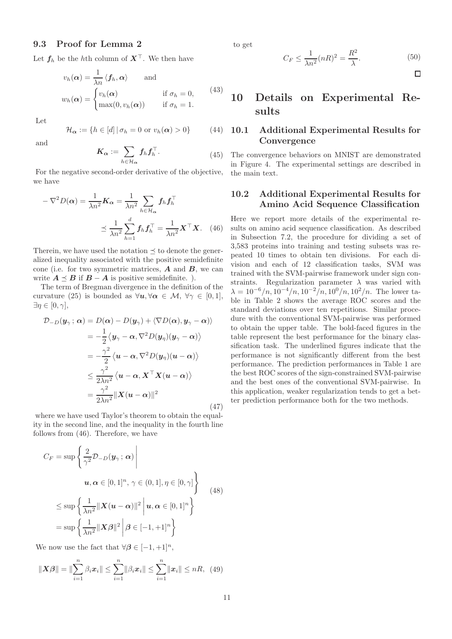#### 9.3 Proof for Lemma 2

Let  $f_h$  be the hth column of  $X^{\top}$ . We then have

$$
v_h(\alpha) = \frac{1}{\lambda n} \langle f_h, \alpha \rangle \quad \text{and} \quad v_h(\alpha) = \begin{cases} v_h(\alpha) & \text{if } \sigma_h = 0, \\ \max(0, v_h(\alpha)) & \text{if } \sigma_h = 1. \end{cases} \tag{43}
$$

Let

$$
\mathcal{H}_{\alpha} := \{ h \in [d] \, | \, \sigma_h = 0 \text{ or } v_h(\alpha) > 0 \} \tag{44}
$$

and

$$
K_{\alpha} := \sum_{h \in \mathcal{H}_{\alpha}} f_h f_h^{\top}.
$$
 (45)

For the negative second-order derivative of the objective, we have

$$
-\nabla^2 D(\alpha) = \frac{1}{\lambda n^2} \mathbf{K}_{\alpha} = \frac{1}{\lambda n^2} \sum_{h \in \mathcal{H}_{\alpha}} f_h f_h^{\top}
$$

$$
\leq \frac{1}{\lambda n^2} \sum_{h=1}^d f_h f_h^{\top} = \frac{1}{\lambda n^2} \mathbf{X}^{\top} \mathbf{X}.
$$
 (46)

Therein, we have used the notation  $\preceq$  to denote the generalized inequality associated with the positive semidefinite cone (i.e. for two symmetric matrices,  $\boldsymbol{A}$  and  $\boldsymbol{B}$ , we can write  $A \preceq B$  if  $B - A$  is positive semidefinite. ).

The term of Bregman divergence in the definition of the curvature (25) is bounded as  $\forall u, \forall \alpha \in \mathcal{M}, \forall \gamma \in [0,1],$  $\exists \eta \in [0, \gamma],$ 

$$
\mathcal{D}_{-D}(\mathbf{y}_{\gamma}; \alpha) = D(\alpha) - D(\mathbf{y}_{\gamma}) + \langle \nabla D(\alpha), \mathbf{y}_{\gamma} - \alpha \rangle \rangle
$$
  
\n
$$
= -\frac{1}{2} \langle \mathbf{y}_{\gamma} - \alpha, \nabla^2 D(\mathbf{y}_{\eta})(\mathbf{y}_{\gamma} - \alpha) \rangle
$$
  
\n
$$
= -\frac{\gamma^2}{2} \langle \mathbf{u} - \alpha, \nabla^2 D(\mathbf{y}_{\eta})(\mathbf{u} - \alpha) \rangle
$$
  
\n
$$
\leq \frac{\gamma^2}{2\lambda n^2} \langle \mathbf{u} - \alpha, \mathbf{X}^{\top} \mathbf{X} (\mathbf{u} - \alpha) \rangle
$$
  
\n
$$
= \frac{\gamma^2}{2\lambda n^2} ||\mathbf{X} (\mathbf{u} - \alpha)||^2
$$
(47)

where we have used Taylor's theorem to obtain the equality in the second line, and the inequality in the fourth line follows from (46). Therefore, we have

$$
C_F = \sup \left\{ \frac{2}{\gamma^2} \mathcal{D}_{-D}(\mathbf{y}_{\gamma}; \alpha) \middle| \right\}
$$
  

$$
\mathbf{u}, \alpha \in [0, 1]^n, \gamma \in (0, 1], \eta \in [0, \gamma] \right\}
$$
  

$$
\leq \sup \left\{ \frac{1}{\lambda n^2} ||\mathbf{X}(\mathbf{u} - \alpha)||^2 \middle| \mathbf{u}, \alpha \in [0, 1]^n \right\}
$$
  

$$
= \sup \left\{ \frac{1}{\lambda n^2} ||\mathbf{X}\beta||^2 \middle| \beta \in [-1, +1]^n \right\}
$$
 (48)

We now use the fact that  $\forall \beta \in [-1, +1]^n$ ,

$$
\|\mathbf{X}\boldsymbol{\beta}\| = \|\sum_{i=1}^{n} \beta_i \mathbf{x}_i\| \le \sum_{i=1}^{n} \|\beta_i \mathbf{x}_i\| \le \sum_{i=1}^{n} \|\mathbf{x}_i\| \le nR, \tag{49}
$$

to get

$$
C_F \le \frac{1}{\lambda n^2} (nR)^2 = \frac{R^2}{\lambda}.
$$
\n(50)

 $\Box$ 

# 10 Details on Experimental Results

### 10.1 Additional Experimental Results for **Convergence**

The convergence behaviors on MNIST are demonstrated in Figure 4. The experimental settings are described in the main text.

### 10.2 Additional Experimental Results for Amino Acid Sequence Classification

Here we report more details of the experimental results on amino acid sequence classification. As described in Subsection 7.2, the procedure for dividing a set of 3,583 proteins into training and testing subsets was repeated 10 times to obtain ten divisions. For each division and each of 12 classification tasks, SVM was trained with the SVM-pairwise framework under sign constraints. Regularization parameter  $\lambda$  was varied with  $\lambda = 10^{-6}/n, 10^{-4}/n, 10^{-2}/n, 10^{0}/n, 10^{2}/n$ . The lower table in Table 2 shows the average ROC scores and the standard deviations over ten repetitions. Similar procedure with the conventional SVM-pairwise was performed to obtain the upper table. The bold-faced figures in the table represent the best performance for the binary classification task. The underlined figures indicate that the performance is not significantly different from the best performance. The prediction performances in Table 1 are the best ROC scores of the sign-constrained SVM-pairwise and the best ones of the conventional SVM-pairwise. In this application, weaker regularization tends to get a better prediction performance both for the two methods.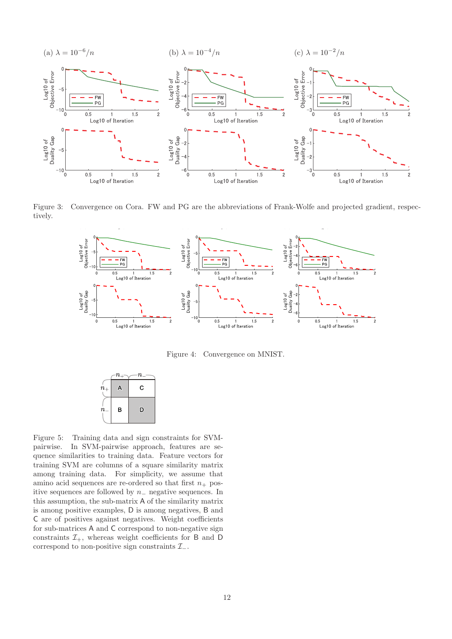

Figure 3: Convergence on Cora. FW and PG are the abbreviations of Frank-Wolfe and projected gradient, respectively.



Figure 4: Convergence on MNIST.

|             | $n_{+}$ | $n_-$ |
|-------------|---------|-------|
| $\dot{n}_+$ | A       | С     |
| $n_{-}$     | B       | D     |

Figure 5: Training data and sign constraints for SVMpairwise. In SVM-pairwise approach, features are sequence similarities to training data. Feature vectors for training SVM are columns of a square similarity matrix among training data. For simplicity, we assume that amino acid sequences are re-ordered so that first  $n_+$  positive sequences are followed by n<sup>−</sup> negative sequences. In this assumption, the sub-matrix A of the similarity matrix is among positive examples, D is among negatives, B and C are of positives against negatives. Weight coefficients for sub-matrices A and C correspond to non-negative sign constraints  $\mathcal{I}_+$ , whereas weight coefficients for B and D correspond to non-positive sign constraints  $\mathcal{I}_-$ .